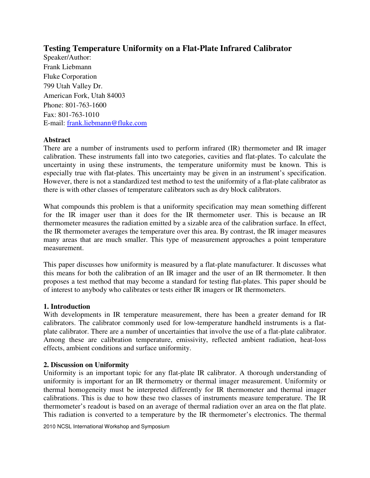# **Testing Temperature Uniformity on a Flat-Plate Infrared Calibrator**

Speaker/Author: Frank Liebmann Fluke Corporation 799 Utah Valley Dr. American Fork, Utah 84003 Phone: 801-763-1600 Fax: 801-763-1010 E-mail: frank.liebmann@fluke.com

#### **Abstract**

There are a number of instruments used to perform infrared (IR) thermometer and IR imager calibration. These instruments fall into two categories, cavities and flat-plates. To calculate the uncertainty in using these instruments, the temperature uniformity must be known. This is especially true with flat-plates. This uncertainty may be given in an instrument's specification. However, there is not a standardized test method to test the uniformity of a flat-plate calibrator as there is with other classes of temperature calibrators such as dry block calibrators.

What compounds this problem is that a uniformity specification may mean something different for the IR imager user than it does for the IR thermometer user. This is because an IR thermometer measures the radiation emitted by a sizable area of the calibration surface. In effect, the IR thermometer averages the temperature over this area. By contrast, the IR imager measures many areas that are much smaller. This type of measurement approaches a point temperature measurement.

This paper discusses how uniformity is measured by a flat-plate manufacturer. It discusses what this means for both the calibration of an IR imager and the user of an IR thermometer. It then proposes a test method that may become a standard for testing flat-plates. This paper should be of interest to anybody who calibrates or tests either IR imagers or IR thermometers.

#### **1. Introduction**

With developments in IR temperature measurement, there has been a greater demand for IR calibrators. The calibrator commonly used for low-temperature handheld instruments is a flatplate calibrator. There are a number of uncertainties that involve the use of a flat-plate calibrator. Among these are calibration temperature, emissivity, reflected ambient radiation, heat-loss effects, ambient conditions and surface uniformity.

#### **2. Discussion on Uniformity**

Uniformity is an important topic for any flat-plate IR calibrator. A thorough understanding of uniformity is important for an IR thermometry or thermal imager measurement. Uniformity or thermal homogeneity must be interpreted differently for IR thermometer and thermal imager calibrations. This is due to how these two classes of instruments measure temperature. The IR thermometer's readout is based on an average of thermal radiation over an area on the flat plate. This radiation is converted to a temperature by the IR thermometer's electronics. The thermal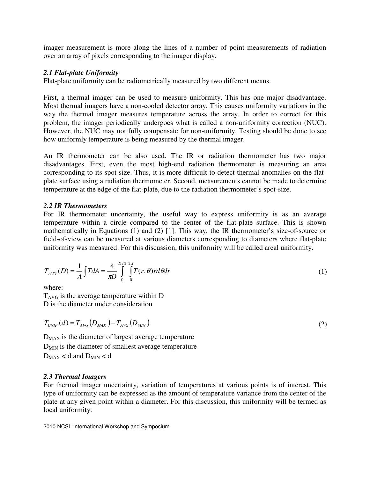imager measurement is more along the lines of a number of point measurements of radiation over an array of pixels corresponding to the imager display.

### *2.1 Flat-plate Uniformity*

Flat-plate uniformity can be radiometrically measured by two different means.

First, a thermal imager can be used to measure uniformity. This has one major disadvantage. Most thermal imagers have a non-cooled detector array. This causes uniformity variations in the way the thermal imager measures temperature across the array. In order to correct for this problem, the imager periodically undergoes what is called a non-uniformity correction (NUC). However, the NUC may not fully compensate for non-uniformity. Testing should be done to see how uniformly temperature is being measured by the thermal imager.

An IR thermometer can be also used. The IR or radiation thermometer has two major disadvantages. First, even the most high-end radiation thermometer is measuring an area corresponding to its spot size. Thus, it is more difficult to detect thermal anomalies on the flatplate surface using a radiation thermometer. Second, measurements cannot be made to determine temperature at the edge of the flat-plate, due to the radiation thermometer's spot-size.

#### *2.2 IR Thermometers*

For IR thermometer uncertainty, the useful way to express uniformity is as an average temperature within a circle compared to the center of the flat-plate surface. This is shown mathematically in Equations (1) and (2) [1]. This way, the IR thermometer's size-of-source or field-of-view can be measured at various diameters corresponding to diameters where flat-plate uniformity was measured. For this discussion, this uniformity will be called areal uniformity.

$$
T_{AVG}(D) = \frac{1}{A} \int T dA = \frac{4}{\pi D} \int_{0}^{D/2} \int_{0}^{2\pi} T(r,\theta) r d\theta dr
$$
 (1)

where:

 $T_{AVG}$  is the average temperature within D D is the diameter under consideration

$$
T_{UNIF}(d) = T_{AVG}(D_{MAX}) - T_{AVG}(D_{MIN})
$$
\n(2)

D<sub>MAX</sub> is the diameter of largest average temperature  $D_{MIN}$  is the diameter of smallest average temperature  $D_{MAX}$  < d and  $D_{MIN}$  < d

# *2.3 Thermal Imagers*

For thermal imager uncertainty, variation of temperatures at various points is of interest. This type of uniformity can be expressed as the amount of temperature variance from the center of the plate at any given point within a diameter. For this discussion, this uniformity will be termed as local uniformity.

2010 NCSL International Workshop and Symposium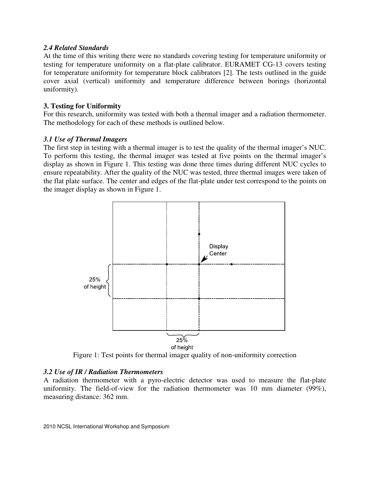#### *2.4 Related Standards*

At the time of this writing there were no standards covering testing for temperature uniformity or testing for temperature uniformity on a flat-plate calibrator. EURAMET CG-13 covers testing for temperature uniformity for temperature block calibrators [2]. The tests outlined in the guide cover axial (vertical) uniformity and temperature difference between borings (horizontal uniformity).

### **3. Testing for Uniformity**

For this research, uniformity was tested with both a thermal imager and a radiation thermometer. The methodology for each of these methods is outlined below.

#### *3.1 Use of Thermal Imagers*

The first step in testing with a thermal imager is to test the quality of the thermal imager's NUC. To perform this testing, the thermal imager was tested at five points on the thermal imager's display as shown in Figure 1. This testing was done three times during different NUC cycles to ensure repeatability. After the quality of the NUC was tested, three thermal images were taken of the flat plate surface. The center and edges of the flat-plate under test correspond to the points on the imager display as shown in Figure 1.



Figure 1: Test points for thermal imager quality of non-uniformity correction

# *3.2 Use of IR / Radiation Thermometers*

A radiation thermometer with a pyro-electric detector was used to measure the flat-plate uniformity. The field-of-view for the radiation thermometer was 10 mm diameter (99%), measuring distance: 362 mm.

2010 NCSL International Workshop and Symposium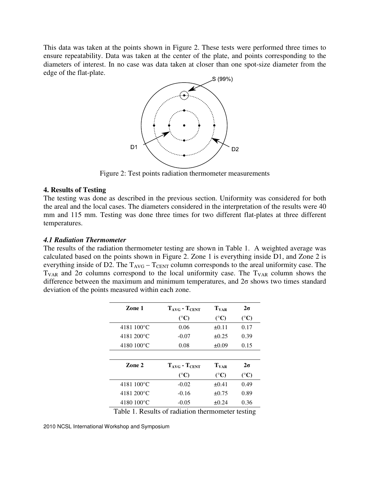This data was taken at the points shown in Figure 2. These tests were performed three times to ensure repeatability. Data was taken at the center of the plate, and points corresponding to the diameters of interest. In no case was data taken at closer than one spot-size diameter from the edge of the flat-plate.



Figure 2: Test points radiation thermometer measurements

#### **4. Results of Testing**

The testing was done as described in the previous section. Uniformity was considered for both the areal and the local cases. The diameters considered in the interpretation of the results were 40 mm and 115 mm. Testing was done three times for two different flat-plates at three different temperatures.

#### *4.1 Radiation Thermometer*

The results of the radiation thermometer testing are shown in Table 1. A weighted average was calculated based on the points shown in Figure 2. Zone 1 is everything inside D1, and Zone 2 is everything inside of D2. The  $T_{AVG} - T_{CENT}$  column corresponds to the areal uniformity case. The  $T_{VAR}$  and  $2\sigma$  columns correspond to the local uniformity case. The  $T_{VAR}$  column shows the difference between the maximum and minimum temperatures, and  $2\sigma$  shows two times standard deviation of the points measured within each zone.

| Zone 1      | $T_{\text{AVG}}$ - $T_{\text{CENT}}$ | $T_{VAR}$       | $2\sigma$       |
|-------------|--------------------------------------|-----------------|-----------------|
|             | $({}^{\circ}C)$                      | $({}^{\circ}C)$ | $({}^{\circ}C)$ |
| 4181 100°C  | 0.06                                 | $\pm 0.11$      | 0.17            |
| 4181 200 °C | $-0.07$                              | $\pm 0.25$      | 0.39            |
| 4180 100°C  | 0.08                                 | $\pm 0.09$      | 0.15            |
|             |                                      |                 |                 |
| Zone 2      | $T_{\text{AVG}}$ - $T_{\text{CENT}}$ | $T_{VAR}$       | $2\sigma$       |
|             | $({}^{\circ}C)$                      | $({}^{\circ}C)$ | $({}^{\circ}C)$ |
| 4181 100°C  | $-0.02$                              | $\pm 0.41$      | 0.49            |
| 4181 200 °C | $-0.16$                              | $\pm 0.75$      | 0.89            |
| 4180 100°C  | $-0.05$                              | $\pm 0.24$      | 0.36            |

Table 1. Results of radiation thermometer testing

<sup>2010</sup> NCSL International Workshop and Symposium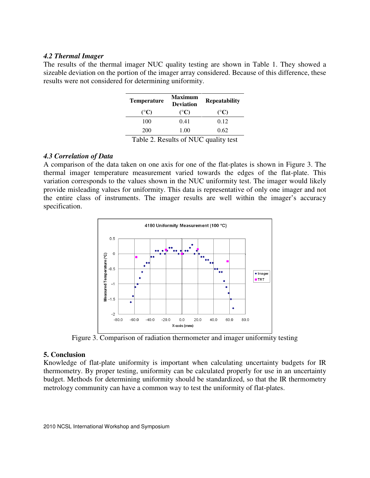#### *4.2 Thermal Imager*

The results of the thermal imager NUC quality testing are shown in Table 1. They showed a sizeable deviation on the portion of the imager array considered. Because of this difference, these results were not considered for determining uniformity.

| <b>Temperature</b>      | <b>Maximum</b><br><b>Deviation</b> | <b>Repeatability</b> |  |
|-------------------------|------------------------------------|----------------------|--|
| $({}^{\circ}C)$         | $({}^{\circ}C)$                    | $({}^{\circ}C)$      |  |
| 100                     | 0.41                               | 0.12                 |  |
| 200                     | 1.00                               | 0.62                 |  |
| . .<br>$\sim$<br>$\sim$ | 0.3777<br>. .                      |                      |  |

Table 2. Results of NUC quality test

#### *4.3 Correlation of Data*

A comparison of the data taken on one axis for one of the flat-plates is shown in Figure 3. The thermal imager temperature measurement varied towards the edges of the flat-plate. This variation corresponds to the values shown in the NUC uniformity test. The imager would likely provide misleading values for uniformity. This data is representative of only one imager and not the entire class of instruments. The imager results are well within the imager's accuracy specification.



Figure 3. Comparison of radiation thermometer and imager uniformity testing

#### **5. Conclusion**

Knowledge of flat-plate uniformity is important when calculating uncertainty budgets for IR thermometry. By proper testing, uniformity can be calculated properly for use in an uncertainty budget. Methods for determining uniformity should be standardized, so that the IR thermometry metrology community can have a common way to test the uniformity of flat-plates.